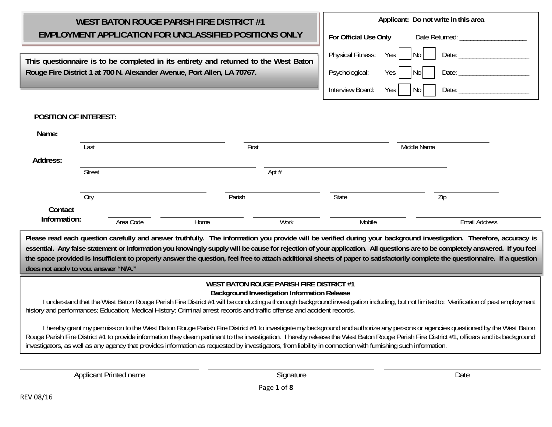| <b>WEST BATON ROUGE PARISH FIRE DISTRICT #1</b>                                      |       |                          | Applicant: Do not write in this area |
|--------------------------------------------------------------------------------------|-------|--------------------------|--------------------------------------|
| <b>EMPLOYMENT APPLICATION FOR UNCLASSIFIED POSITIONS ONLY</b>                        |       | For Official Use Only    | Date Returned:                       |
| This questionnaire is to be completed in its entirety and returned to the West Baton |       | <b>Physical Fitness:</b> | Date:<br>Yes                         |
| Rouge Fire District 1 at 700 N. Alexander Avenue, Port Allen, LA 70767.              |       | Psychological:           | Date:<br>Yes I                       |
|                                                                                      |       | Interview Board:         | Date:<br>Yes                         |
| <b>POSITION OF INTEREST:</b>                                                         |       |                          |                                      |
| Name:                                                                                |       |                          |                                      |
| Last                                                                                 | First |                          | Middle Name                          |
| Address:                                                                             |       |                          |                                      |

**Please read each question carefully and answer truthfully. The information you provide will be verified during your background investigation. Therefore, accuracy is**  essential. Any false statement or information you knowingly supply will be cause for rejection of your application. All questions are to be completely answered. If you feel **the space provided is insufficient to properly answer the question, feel free to attach additional sheets of paper to satisfactorily complete the questionnaire. If a question does not apply to you, answer "N/A."**

City Parish State Zip

**Information:** Area Code Home Home Work Work Mobile Mobile Email Address

## **WEST BATON ROUGE PARISH FIRE DISTRICT #1**

**Background Investigation Information Release** 

 I understand that the West Baton Rouge Parish Fire District #1 will be conducting a thorough background investigation including, but not limited to: Verification of past employment history and performances; Education; Medical History; Criminal arrest records and traffic offense and accident records.

 I hereby grant my permission to the West Baton Rouge Parish Fire District #1 to investigate my background and authorize any persons or agencies questioned by the West Baton Rouge Parish Fire District #1 to provide information they deem pertinent to the investigation. I hereby release the West Baton Rouge Parish Fire District #1, officers and its background investigators, as well as any agency that provides information as requested by investigators, from liability in connection with furnishing such information.

Page **1** of **8**

Applicant Printed name Date

Street Apt #

**Contact**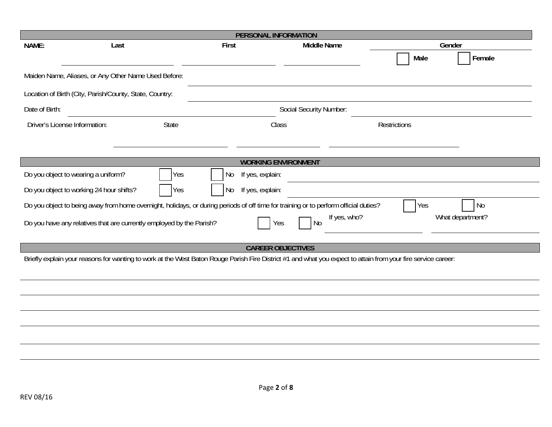|                                                                                                                              |                                                         |                                | PERSONAL INFORMATION                                                                                                                                          |                     |  |  |  |
|------------------------------------------------------------------------------------------------------------------------------|---------------------------------------------------------|--------------------------------|---------------------------------------------------------------------------------------------------------------------------------------------------------------|---------------------|--|--|--|
| NAME:                                                                                                                        | Last                                                    | First                          | <b>Middle Name</b>                                                                                                                                            | Gender              |  |  |  |
|                                                                                                                              |                                                         |                                |                                                                                                                                                               | Female<br>Male      |  |  |  |
|                                                                                                                              | Maiden Name, Aliases, or Any Other Name Used Before:    |                                |                                                                                                                                                               |                     |  |  |  |
|                                                                                                                              | Location of Birth (City, Parish/County, State, Country: |                                |                                                                                                                                                               |                     |  |  |  |
| Date of Birth:                                                                                                               |                                                         |                                | Social Security Number:                                                                                                                                       |                     |  |  |  |
| Driver's License Information:                                                                                                | State                                                   |                                | Class                                                                                                                                                         | <b>Restrictions</b> |  |  |  |
|                                                                                                                              |                                                         |                                |                                                                                                                                                               |                     |  |  |  |
|                                                                                                                              |                                                         |                                | <b>WORKING ENVIRONMENT</b>                                                                                                                                    |                     |  |  |  |
| Do you object to wearing a uniform?                                                                                          |                                                         | Yes<br>If yes, explain:<br>No. |                                                                                                                                                               |                     |  |  |  |
| Do you object to working 24 hour shifts?                                                                                     |                                                         | If yes, explain:<br>Yes<br>No  |                                                                                                                                                               |                     |  |  |  |
|                                                                                                                              |                                                         |                                | Do you object to being away from home overnight, holidays, or during periods of off time for training or to perform official duties?                          | <b>No</b><br>Yes    |  |  |  |
| If yes, who?<br>What department?<br>Do you have any relatives that are currently employed by the Parish?<br><b>No</b><br>Yes |                                                         |                                |                                                                                                                                                               |                     |  |  |  |
|                                                                                                                              |                                                         |                                | <b>CAREER OBJECTIVES</b>                                                                                                                                      |                     |  |  |  |
|                                                                                                                              |                                                         |                                | Briefly explain your reasons for wanting to work at the West Baton Rouge Parish Fire District #1 and what you expect to attain from your fire service career: |                     |  |  |  |
|                                                                                                                              |                                                         |                                |                                                                                                                                                               |                     |  |  |  |
|                                                                                                                              |                                                         |                                |                                                                                                                                                               |                     |  |  |  |
|                                                                                                                              |                                                         |                                |                                                                                                                                                               |                     |  |  |  |
|                                                                                                                              |                                                         |                                |                                                                                                                                                               |                     |  |  |  |
|                                                                                                                              |                                                         |                                |                                                                                                                                                               |                     |  |  |  |
|                                                                                                                              |                                                         |                                |                                                                                                                                                               |                     |  |  |  |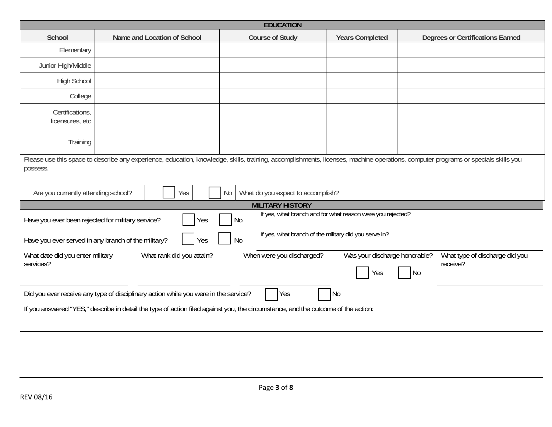|                                                                       |                                                                                                                                                                                   | <b>EDUCATION</b>                                                   |                                      |                                                         |  |  |
|-----------------------------------------------------------------------|-----------------------------------------------------------------------------------------------------------------------------------------------------------------------------------|--------------------------------------------------------------------|--------------------------------------|---------------------------------------------------------|--|--|
| School                                                                | Name and Location of School                                                                                                                                                       | <b>Course of Study</b>                                             | <b>Years Completed</b>               | <b>Degrees or Certifications Earned</b>                 |  |  |
| Elementary                                                            |                                                                                                                                                                                   |                                                                    |                                      |                                                         |  |  |
| Junior High/Middle                                                    |                                                                                                                                                                                   |                                                                    |                                      |                                                         |  |  |
| <b>High School</b>                                                    |                                                                                                                                                                                   |                                                                    |                                      |                                                         |  |  |
| College                                                               |                                                                                                                                                                                   |                                                                    |                                      |                                                         |  |  |
| Certifications,<br>licensures, etc                                    |                                                                                                                                                                                   |                                                                    |                                      |                                                         |  |  |
| Training                                                              |                                                                                                                                                                                   |                                                                    |                                      |                                                         |  |  |
| possess.                                                              | Please use this space to describe any experience, education, knowledge, skills, training, accomplishments, licenses, machine operations, computer programs or specials skills you |                                                                    |                                      |                                                         |  |  |
| Are you currently attending school?                                   | Yes                                                                                                                                                                               | What do you expect to accomplish?<br>No                            |                                      |                                                         |  |  |
|                                                                       | <b>MILITARY HISTORY</b><br>If yes, what branch and for what reason were you rejected?                                                                                             |                                                                    |                                      |                                                         |  |  |
| Have you ever been rejected for military service?<br><b>No</b><br>Yes |                                                                                                                                                                                   |                                                                    |                                      |                                                         |  |  |
|                                                                       | Have you ever served in any branch of the military?<br>Yes                                                                                                                        | If yes, what branch of the military did you serve in?<br><b>No</b> |                                      |                                                         |  |  |
| What date did you enter military<br>services?                         | What rank did you attain?                                                                                                                                                         | When were you discharged?                                          | Was your discharge honorable?<br>Yes | What type of discharge did you<br>receive?<br><b>No</b> |  |  |
|                                                                       | Did you ever receive any type of disciplinary action while you were in the service?                                                                                               | <b>Yes</b>                                                         | N <sub>o</sub>                       |                                                         |  |  |
|                                                                       | If you answered "YES," describe in detail the type of action filed against you, the circumstance, and the outcome of the action:                                                  |                                                                    |                                      |                                                         |  |  |
|                                                                       |                                                                                                                                                                                   |                                                                    |                                      |                                                         |  |  |
|                                                                       |                                                                                                                                                                                   |                                                                    |                                      |                                                         |  |  |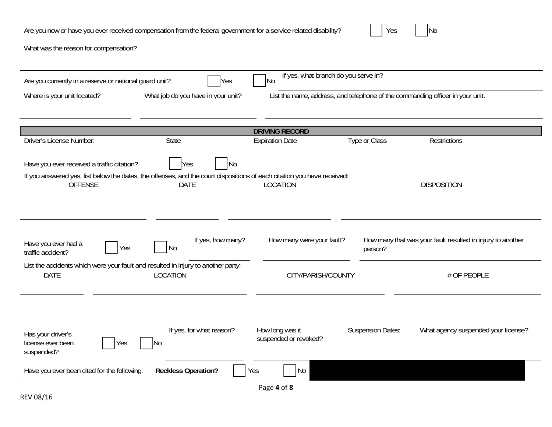| Are you now or have you ever received compensation from the federal government for a service related disability? |  | $V_{\alpha\alpha}$<br>ی با |  | <b>No</b> |
|------------------------------------------------------------------------------------------------------------------|--|----------------------------|--|-----------|
|------------------------------------------------------------------------------------------------------------------|--|----------------------------|--|-----------|

What was the reason for compensation?

| Are you currently in a reserve or national guard unit?                                                                  | Yes                                        | If yes, what branch do you serve in?<br>N <sub>o</sub>                        |                          |                                                            |
|-------------------------------------------------------------------------------------------------------------------------|--------------------------------------------|-------------------------------------------------------------------------------|--------------------------|------------------------------------------------------------|
| Where is your unit located?                                                                                             | What job do you have in your unit?         | List the name, address, and telephone of the commanding officer in your unit. |                          |                                                            |
|                                                                                                                         |                                            |                                                                               |                          |                                                            |
|                                                                                                                         |                                            | <b>DRIVING RECORD</b>                                                         |                          |                                                            |
| <b>Driver's License Number:</b>                                                                                         | <b>State</b>                               | <b>Expiration Date</b>                                                        | Type or Class            | <b>Restrictions</b>                                        |
| Have you ever received a traffic citation?                                                                              | Yes<br>N <sub>o</sub>                      |                                                                               |                          |                                                            |
| If you answered yes, list below the dates, the offenses, and the court dispositions of each citation you have received: |                                            |                                                                               |                          |                                                            |
| <b>OFFENSE</b>                                                                                                          | <b>DATE</b>                                | <b>LOCATION</b>                                                               |                          | <b>DISPOSITION</b>                                         |
|                                                                                                                         |                                            |                                                                               |                          |                                                            |
|                                                                                                                         |                                            |                                                                               |                          |                                                            |
|                                                                                                                         | If yes, how many?                          | How many were your fault?                                                     |                          | How many that was your fault resulted in injury to another |
| Have you ever had a<br>Yes<br>traffic accident?                                                                         | <b>No</b>                                  |                                                                               | person?                  |                                                            |
| List the accidents which were your fault and resulted in injury to another party:                                       |                                            |                                                                               |                          |                                                            |
| <b>DATE</b>                                                                                                             | LOCATION                                   | CITY/PARISH/COUNTY                                                            |                          | # OF PEOPLE                                                |
|                                                                                                                         |                                            |                                                                               |                          |                                                            |
|                                                                                                                         |                                            |                                                                               |                          |                                                            |
| Has your driver's<br>license ever been<br>Yes<br>suspended?                                                             | If yes, for what reason?<br>N <sub>0</sub> | How long was it<br>suspended or revoked?                                      | <b>Suspension Dates:</b> | What agency suspended your license?                        |
| Have you ever been cited for the following:                                                                             | <b>Reckless Operation?</b>                 | No<br>Yes                                                                     |                          |                                                            |
|                                                                                                                         |                                            | Page 4 of 8                                                                   |                          |                                                            |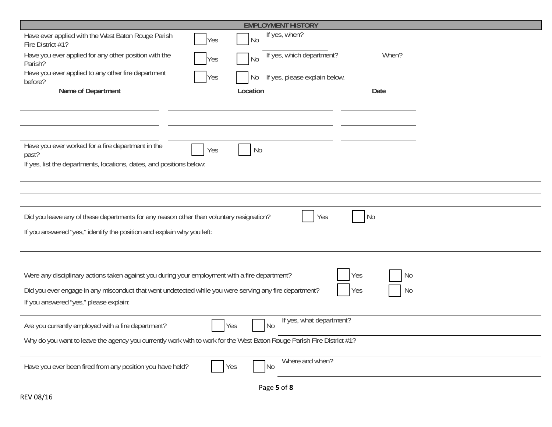| <b>EMPLOYMENT HISTORY</b>                                                                                                       |
|---------------------------------------------------------------------------------------------------------------------------------|
| If yes, when?<br>Have ever applied with the West Baton Rouge Parish<br>N <sub>0</sub><br>Yes<br>Fire District #1?               |
| Have you ever applied for any other position with the<br>If yes, which department?<br>When?<br>N <sub>0</sub><br>Yes<br>Parish? |
| Have you ever applied to any other fire department<br>If yes, please explain below.<br>Yes<br>No<br>before?                     |
| Name of Department<br>Location<br>Date                                                                                          |
|                                                                                                                                 |
|                                                                                                                                 |
| Have you ever worked for a fire department in the<br>Yes<br>No<br>past?                                                         |
| If yes, list the departments, locations, dates, and positions below:                                                            |
|                                                                                                                                 |
|                                                                                                                                 |
| Did you leave any of these departments for any reason other than voluntary resignation?<br>N <sub>0</sub><br>Yes                |
| If you answered "yes," identify the position and explain why you left:                                                          |
|                                                                                                                                 |
| Were any disciplinary actions taken against you during your employment with a fire department?<br>Yes<br>No                     |
| Did you ever engage in any misconduct that went undetected while you were serving any fire department?<br>Yes<br>No             |
| If you answered "yes," please explain:                                                                                          |
| If yes, what department?<br><b>No</b><br>Are you currently employed with a fire department?<br>Yes                              |
| Why do you want to leave the agency you currently work with to work for the West Baton Rouge Parish Fire District #1?           |
| Where and when?<br>Have you ever been fired from any position you have held?<br>Yes<br><b>No</b>                                |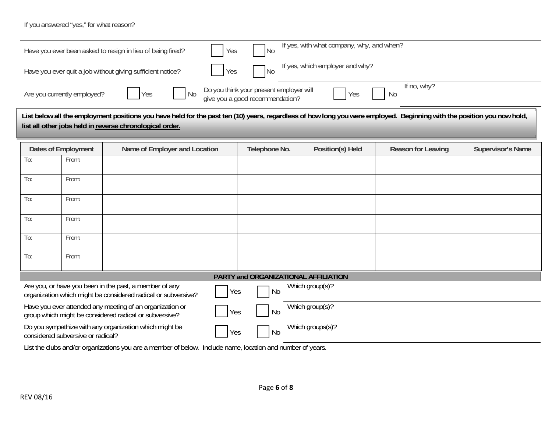If you answered "yes," for what reason?

|                                                                                                                                                                                                                                    |                             | Have you ever been asked to resign in lieu of being fired? | Yes | <b>No</b>                                                                  | If yes, with what company, why, and when? |                    |                          |  |
|------------------------------------------------------------------------------------------------------------------------------------------------------------------------------------------------------------------------------------|-----------------------------|------------------------------------------------------------|-----|----------------------------------------------------------------------------|-------------------------------------------|--------------------|--------------------------|--|
| Have you ever quit a job without giving sufficient notice?                                                                                                                                                                         |                             |                                                            | Yes | <b>No</b>                                                                  | If yes, which employer and why?           |                    |                          |  |
|                                                                                                                                                                                                                                    | Are you currently employed? | Yes<br>N <sub>0</sub>                                      |     | Do you think your present employer will<br>give you a good recommendation? | Yes                                       | If no, why?<br>No  |                          |  |
| List below all the employment positions you have held for the past ten (10) years, regardless of how long you were employed. Beginning with the position you now hold,<br>list all other jobs held in reverse chronological order. |                             |                                                            |     |                                                                            |                                           |                    |                          |  |
|                                                                                                                                                                                                                                    | <b>Dates of Employment</b>  | Name of Employer and Location                              |     | Telephone No.                                                              | Position(s) Held                          | Reason for Leaving | <b>Supervisor's Name</b> |  |
| To:                                                                                                                                                                                                                                | From:                       |                                                            |     |                                                                            |                                           |                    |                          |  |
| To:                                                                                                                                                                                                                                | From:                       |                                                            |     |                                                                            |                                           |                    |                          |  |
| To:                                                                                                                                                                                                                                | From:                       |                                                            |     |                                                                            |                                           |                    |                          |  |

| To: | From:                             |                                                                                                                         |     |                                      |                   |  |
|-----|-----------------------------------|-------------------------------------------------------------------------------------------------------------------------|-----|--------------------------------------|-------------------|--|
|     |                                   |                                                                                                                         |     |                                      |                   |  |
|     |                                   |                                                                                                                         |     | PARTY and ORGANIZATIONAL AFFILIATION |                   |  |
|     |                                   | Are you, or have you been in the past, a member of any<br>organization which might be considered radical or subversive? | Yes | No                                   | Which $group(s)?$ |  |
|     |                                   | Have you ever attended any meeting of an organization or<br>group which might be considered radical or subversive?      | Yes | No                                   | Which group(s)?   |  |
|     | considered subversive or radical? | Do you sympathize with any organization which might be                                                                  | Yes | No                                   | Which groups(s)?  |  |

List the clubs and/or organizations you are a member of below. Include name, location and number of years.

To: From:

To: From: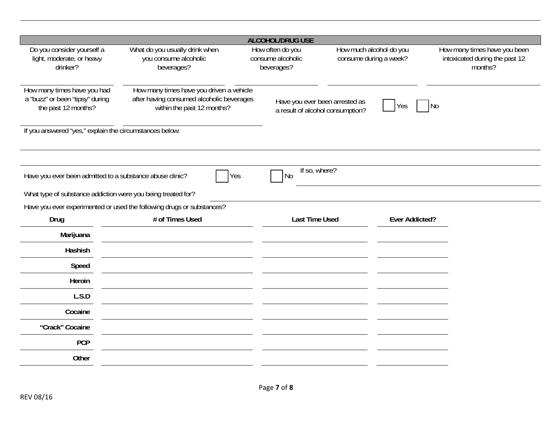|                                                                                       |                                                                                                                     | <b>ALCOHOL/DRUG USE</b>                                            |                                                   |                                                                           |
|---------------------------------------------------------------------------------------|---------------------------------------------------------------------------------------------------------------------|--------------------------------------------------------------------|---------------------------------------------------|---------------------------------------------------------------------------|
| Do you consider yourself a<br>light, moderate, or heavy<br>drinker?                   | What do you usually drink when<br>you consume alcoholic<br>beverages?                                               | How often do you<br>consume alcoholic<br>beverages?                | How much alcohol do you<br>consume during a week? | How many times have you been<br>intoxicated during the past 12<br>months? |
| How many times have you had<br>a "buzz" or been "tipsy" during<br>the past 12 months? | How many times have you driven a vehicle<br>after having consumed alcoholic beverages<br>within the past 12 months? | Have you ever been arrested as<br>a result of alcohol consumption? | Yes                                               | No                                                                        |
| If you answered "yes," explain the circumstances below:                               |                                                                                                                     |                                                                    |                                                   |                                                                           |
|                                                                                       |                                                                                                                     |                                                                    |                                                   |                                                                           |
| Have you ever been admitted to a substance abuse clinic?                              | Yes                                                                                                                 | If so, where?<br>No                                                |                                                   |                                                                           |
|                                                                                       | What type of substance addiction were you being treated for?                                                        |                                                                    |                                                   |                                                                           |
|                                                                                       | Have you ever experimented or used the following drugs or substances?                                               |                                                                    |                                                   |                                                                           |
| Drug                                                                                  | # of Times Used                                                                                                     | <b>Last Time Used</b>                                              | <b>Ever Addicted?</b>                             |                                                                           |
| Marijuana                                                                             |                                                                                                                     |                                                                    |                                                   |                                                                           |
| Hashish                                                                               |                                                                                                                     |                                                                    |                                                   |                                                                           |
| Speed                                                                                 |                                                                                                                     |                                                                    |                                                   |                                                                           |
| Heroin                                                                                |                                                                                                                     |                                                                    |                                                   |                                                                           |
| L.S.D                                                                                 |                                                                                                                     |                                                                    |                                                   |                                                                           |
| Cocaine                                                                               |                                                                                                                     |                                                                    |                                                   |                                                                           |
| "Crack" Cocaine                                                                       |                                                                                                                     |                                                                    |                                                   |                                                                           |
| <b>PCP</b>                                                                            |                                                                                                                     |                                                                    |                                                   |                                                                           |
| Other                                                                                 |                                                                                                                     |                                                                    |                                                   |                                                                           |
|                                                                                       |                                                                                                                     |                                                                    |                                                   |                                                                           |